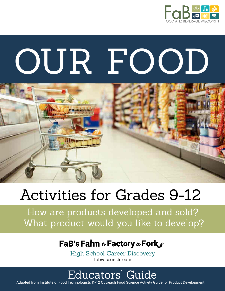

# OUR FOOD



# **Activities for Grades 9-12**

How are products developed and sold? What product would you like to develop?

## FaB's Farm & Factory & Fork

**High School Career Discovery** fabwisconsin.com

## Educators' Guide

Adapted from Institute of Food Technologists K-12 Outreach Food Science Activity Guide for Product Development.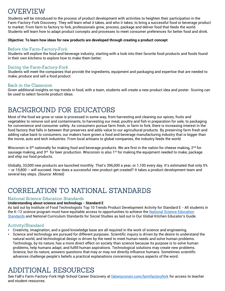## **OVERVIEW**

Students will be introduced to the process of product development with activities to heighten their participation in the Farm-Factory-Fork Discovery. They will learn what it takes, and who it takes, to bring a successful food or beverage product to market. From farm to factory to fork, professionals grow, process, package and deliver food that feeds the world. Students will learn how to adapt product concepts and processes to meet consumer preferences for better food and drink.

#### **Objective: To learn how ideas for new products are developed through creating a product concept**

#### Before the Farm-Factory-Fork

Students will explore the food and beverage industry, starting with a look into their favorite food products and foods found in their own kitchens to explore how to make them better.

#### During the Farm-Factory-Fork

Students will meet the companies that provide the ingredients, equipment and packaging and expertise that are needed to make, produce and sell a food product.

#### **Back in the Classroom**

Given additional insights on top trends in food, with a team, students will create a new product idea and poster. Scoring can be used to select favorite product ideas.

## **BACKGROUND FOR EDUCATORS**

Most of the food we grow or raise is processed in some way, from harvesting and cleaning our spices, fruits and vegetables to remove soil and contaminants, to harvesting our meat, poultry and fish in preparation for sale, to packaging for convenience and consumer safety. As consumers pursue farm fresh, or farm to fork, there is increasing interest in the food factory that falls in between that preserves and adds value to our agricultural products. By preserving farm fresh and adding value back to consumers, our makers have grown a food and beverage manufacturing industry that is bigger than the movie, auto and tech industries. From local artisans to global companies, the industry feeds the world.

Wisconsin is 5<sup>th</sup> nationally for making food and beverage products. We are first in the nation for cheese making, 2<sup>nd</sup> for sausage making, and 3<sup>rd</sup> for beer production. Wisconsin is also 1<sup>st</sup> for making the equipment needed to make, package and ship our food products.

Globally, 33,000 new products are launched monthly. That's 396,000 a year, or 1,100 every day. It's estimated that only 5% – or 19,800 – will succeed. How does a successful new product get created? It takes a product development team and several key steps. *(Source: Mintel)*

## CORRELATION TO NATIONAL STANDARDS

#### **National Science Education Standards**

#### **Understanding about science and technology - Standard E**

As laid out by Institute of Food Technologists Top 10 Trends Product Development Activity for Standard E - All students in the K-12 science program must have equitable access to opportunities to achieve the National Science Education Standards and National Curriculum Standards for Social Studies as laid out in Our Global Kitchen Educator's Guide.

#### Activity/Standard

- Creativity, imagination, and a good knowledge base are all required in the work of science and engineering.
- Science and technology are pursued for different purposes. Scientific inquiry is driven by the desire to understand the natural world, and technological design is driven by the need to meet human needs and solve human problems. Technology, by its nature, has a more direct effect on society than science because its purpose is to solve human problems, help humans adapt, and fulfill human aspirations. Technological solutions may create new problems. Science, but its nature, answers questions that may or may not directly influence humans. Sometimes scientific advances challenge people's beliefs a practical explanations concerning various aspects of the word.

## ADDITIONAL RESOURCES

See FaB's Farm-Factory-Fork High School Career Discovery at <fabwisconsin.com/farmfactoryfork> for access to teacher and student resources.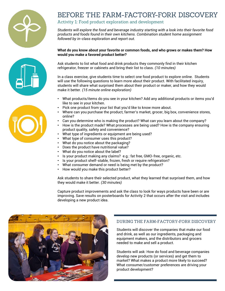





### BEFORE THE FARM-FACTORY-FORK DISCOVERY

#### Activity 1: Food product exploration and development

*Students will explore the food and beverage industry starting with a look into their favorite food products and foods found in their own kitchens. Combination student home assignment followed by in-class exploration and report out.*

#### **What do you know about your favorite or common foods, and who grows or makes them? How would you make a favored product better?**

Ask students to list what food and drink products they commonly find in their kitchen refrigerator, freezer or cabinets and bring their list to class. *(10 minutes)*

In a class exercise, give students time to select one food product to explore online. Students will use the following questions to learn more about their product. With facilitated inquiry, students will share what surprised them about their product or maker, and how they would make it better. *(15 minute online exploration)*

- What products/items do you see in your kitchen? Add any additional products or items you'd like to see in your kitchen.
- Pick one product from your list that you'd like to know more about.
- Where can you purchase the product, farmer's market, grocer, big box, convenience stores, online?
- Can you determine who is making the product? What can you learn about the company?
- How is the product made? What processes are being used? How is the company ensuring product quality, safety and convenience?
- What type of ingredients or equipment are being used?
- What type of consumer uses this product?
- What do you notice about the packaging?
- Does the product have nutritional value?
- What do you notice about the label?
- Is your product making any claims? e.g.: fat free, GMO-free, organic, etc.
- Is your product shelf-stable, frozen, fresh or require refrigeration?
- What consumer demand or need is being met by the product?
- How would you make this product better?

Ask students to share their selected product, what they learned that surprised them, and how they would make it better. *(30 minutes)*

Capture product improvements and ask the class to look for ways products have been or are improving. Save results on posterboards for Activity 2 that occurs after the visit and includes developing a new product idea.



#### DURING THE FARM-FACTORY-FORK DISCOVERY

Students will discover the companies that make our food and drink, as well as our ingredients, packaging and equipment makers, and the distributors and grocers needed to make and sell a product.

Students will ask: How do food and beverage companies develop new products (or services) and get them to market? What makes a product more likely to succeed? What consumer/customer preferences are driving your product development?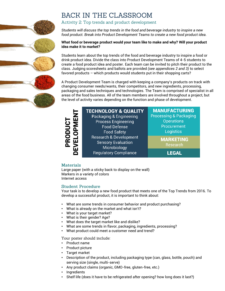## **BACK IN THE CLASSROOM**

#### Activity 2: Top trends and product development

*Students will discuss the top trends in the food and beverage industry to inspire a new food product. Break into Product Development Teams to create a new food product idea.*

#### **What food or beverage product would your team like to make and why? Will your product idea make it to market?**

Students learn about the top trends of the food and beverage industry to inspire a food or drink product idea. Divide the class into Product Development Teams of 4-5 students to create a food product idea and poster. Each team can be invited to pitch their product to the class. Judging scoresheets and ballots are provided *(see appendices 2 and 3)* to select favored products – which products would students put in their shopping carts?

A Product Development Team is charged with keeping a company's products on track with changing consumer needs/wants, their competitors, and new ingredients, processing, packaging and sales techniques and technologies. The Team is comprised of specialist in all areas of the food business. All of the team members are involved throughout a project, but the level of activity varies depending on the function and phase of development.

• What are some trends in consumer behavior and trends of What products and trend?<br>• What is always and the wealth of the search & Development<br>
Materials<br>
Large paper (with a sticky back to display on the wall)<br>
Markers i

**Operations Procurement** Logistics

**MARKETING** Research

**LEGAL** 

Large paper (with a sticky back to display on the wall) Markers in a variety of colors Internet access

Your task is to develop a new food product that meets one of the Top Trends from 2016. To develop a successful product, it is important to think about:

- What are some trends in consumer behavior and product purchasing?
- What is already on the market and what isn't?
- What is your target market?
- What is their gender? Age?
- What does the target market like and dislike?
- What are some trends in flavor, packaging, ingredients, processing?
- 

Your poster should include:

- Product name
- Product picture
- Target market
- Description of the product, including packaging type (can, glass, bottle, pouch) and serving size (single, multi-serve)
- Any product claims (organic, GMO-free, gluten-free, etc.)
- **Ingredients**
- Shelf life (does it have to be refrigerated after opening? how long does it last?)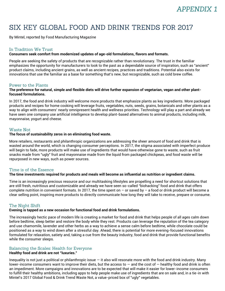## SIX KEY GLOBAL FOOD AND DRINK TRENDS FOR 2017

By Mintel, reported by Food Manufacturing Magazine

#### In Tradition We Trust

#### **Consumers seek comfort from modernized updates of age-old formulations, flavors and formats.**

People are seeking the safety of products that are recognizable rather than revolutionary. The trust in the familiar emphasizes the opportunity for manufacturers to look to the past as a dependable source of inspiration, such as "ancient" product claims, including ancient grains, as well as ancient recipes, practices and traditions. Potential also exists for innovations that use the familiar as a base for something that's new, but recognizable, such as cold brew coffee.

#### Power to the Plants

#### **The preference for natural, simple and flexible diets will drive further expansion of vegetarian, vegan and other plantfocused formulations.**

In 2017, the food and drink industry will welcome more products that emphasize plants as key ingredients. More packaged products and recipes for home cooking will leverage fruits, vegetables, nuts, seeds, grains, botanicals and other plants as a way to align with consumers' nearly omnipresent health and wellness priorities. Technology will play a part and already we have seen one company use artificial intelligence to develop plant-based alternatives to animal products, including milk, mayonnaise, yogurt and cheese.

#### **Waste Not**

#### **The focus of sustainability zeros in on eliminating food waste.**

More retailers, restaurants and philanthropic organizations are addressing the sheer amount of food and drink that is wasted around the world, which is changing consumer perceptions. In 2017, the stigma associated with imperfect produce will begin to fade, more products will make use of ingredients that would have otherwise gone to waste, such as fruit snacks made from "ugly" fruit and mayonnaise made from the liquid from packaged chickpeas, and food waste will be repurposed in new ways, such as power sources.

#### Time is of the Essence

#### **The time investments required for products and meals will become as influential as nutrition or ingredient claims.**

Time is an increasingly precious resource and our multitasking lifestyles are propelling a need for shortcut solutions that are still fresh, nutritious and customizable and already we have seen so-called "biohacking" food and drink that offers complete nutrition in convenient formats. In 2017, the time spent on – or saved by – a food or drink product will become a clear selling point, inspiring more products to directly communicate how long they will take to receive, prepare or consume.

#### The Night Shift

#### **Evening is tapped as a new occasion for functional food and drink formulations.**

The increasingly hectic pace of modern life is creating a market for food and drink that helps people of all ages calm down before bedtime, sleep better and restore the body while they rest. Products can leverage the reputation of the tea category and use chamomile, lavender and other herbs as a way to achieve a sense calm before bedtime, while chocolate could be positioned as a way to wind down after a stressful day. Ahead, there is potential for more evening-focused innovations formulated for relaxation, satiety and, taking a cue from the beauty industry, food and drink that provide functional benefits while the consumer sleeps.

#### Balancing the Scales: Health for Everyone **Healthy food and drink are not "luxuries."**

Inequality is not just a political or philanthropic issue  $-$  it also will resonate more with the food and drink industry. Many lower-income consumers want to improve their diets, but the access to  $-$  and the cost of  $-$  healthy food and drink is often an impediment. More campaigns and innovations are to be expected that will make it easier for lower-income consumers to fulfill their healthy ambitions, including apps to help people make use of ingredients that are on sale and, in a tie-in with Mintel's 2017 Global Food & Drink Trend Waste Not, a value-priced box of "ugly" vegetables.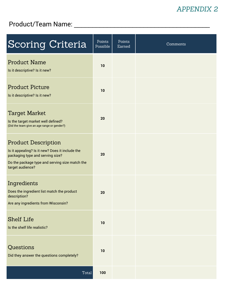## **APPENDIX 2**

## Product/Team Name: \_\_\_\_\_\_\_\_\_\_\_\_\_\_\_\_\_\_\_\_\_\_\_\_\_\_\_\_\_\_\_\_\_\_\_\_\_

| <b>Scoring Criteria</b>                                                                                                                                                                 | Points<br>Possible | Points<br>Earned | Comments |
|-----------------------------------------------------------------------------------------------------------------------------------------------------------------------------------------|--------------------|------------------|----------|
| <b>Product Name</b><br>Is it descriptive? Is it new?                                                                                                                                    | 10                 |                  |          |
| <b>Product Picture</b><br>Is it descriptive? Is it new?                                                                                                                                 | 10                 |                  |          |
| Target Market<br>Is the target market well defined?<br>(Did the team give an age range or gender?)                                                                                      | 20                 |                  |          |
| <b>Product Description</b><br>Is it appealing? Is it new? Does it include the<br>packaging type and serving size?<br>Do the package type and serving size match the<br>target audience? | 20                 |                  |          |
| Ingredients<br>Does the ingredient list match the product<br>description?<br>Are any ingredients from Wisconsin?                                                                        | 20                 |                  |          |
| <b>Shelf Life</b><br>Is the shelf life realistic?                                                                                                                                       | 10                 |                  |          |
| Questions<br>Did they answer the questions completely?                                                                                                                                  | 10                 |                  |          |
| Total                                                                                                                                                                                   | 100                |                  |          |